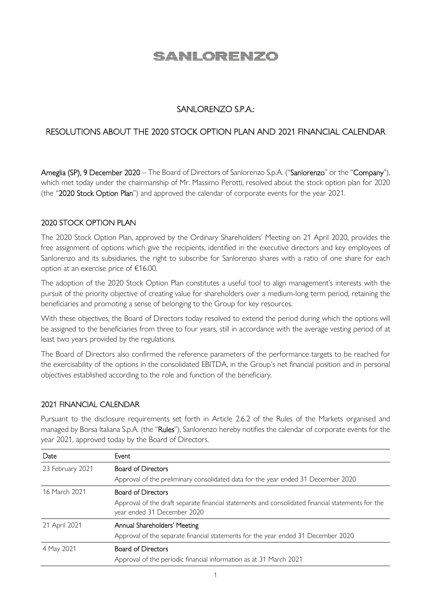# <u>SANLORENZO</u>

## SANLORENZO S.P.A.:

# RESOLUTIONS ABOUT THE 2020 STOCK OPTION PLAN AND 2021 FINANCIAL CALENDAR

Ameglia (SP), 9 December 2020 – The Board of Directors of Sanlorenzo S.p.A. ("Sanlorenzo" or the "Company"). which met today under the chairmanship of Mr. Massimo Perotti, resolved about the stock option plan for 2020 (the "2020 Stock Option Plan") and approved the calendar of corporate events for the year 2021.

## 2020 STOCK OPTION PLAN

The 2020 Stock Option Plan, approved by the Ordinary Shareholders' Meeting on 21 April 2020, provides the free assignment of options which give the recipients, identified in the executive directors and key employees of Sanlorenzo and its subsidiaries, the right to subscribe for Sanlorenzo shares with a ratio of one share for each option at an exercise price of €16.00.

The adoption of the 2020 Stock Option Plan constitutes a useful tool to align management's interests with the pursuit of the priority objective of creating value for shareholders over a medium-long term period, retaining the beneficiaries and promoting a sense of belonging to the Group for key resources.

With these objectives, the Board of Directors today resolved to extend the period during which the options will be assigned to the beneficiaries from three to four years, still in accordance with the average vesting period of at least two years provided by the regulations.

The Board of Directors also confirmed the reference parameters of the performance targets to be reached for the exercisability of the options in the consolidated EBITDA, in the Group's net financial position and in personal objectives established according to the role and function of the beneficiary.

### 2021 FINANCIAL CALENDAR

Pursuant to the disclosure requirements set forth in Article 2.6.2 of the Rules of the Markets organised and managed by Borsa Italiana S.p.A. (the "Rules"), Sanlorenzo hereby notifies the calendar of corporate events for the year 2021, approved today by the Board of Directors.

| Date             | Event                                                                                             |
|------------------|---------------------------------------------------------------------------------------------------|
| 23 February 2021 | <b>Board of Directors</b>                                                                         |
|                  | Approval of the preliminary consolidated data for the year ended 31 December 2020                 |
| 16 March 2021    | <b>Board of Directors</b>                                                                         |
|                  | Approval of the draft separate financial statements and consolidated financial statements for the |
|                  | year ended 31 December 2020                                                                       |
| 21 April 2021    | Annual Shareholders' Meeting                                                                      |
|                  | Approval of the separate financial statements for the year ended 31 December 2020                 |
| 4 May 2021       | <b>Board of Directors</b>                                                                         |
|                  | Approval of the periodic financial information as at 31 March 2021                                |